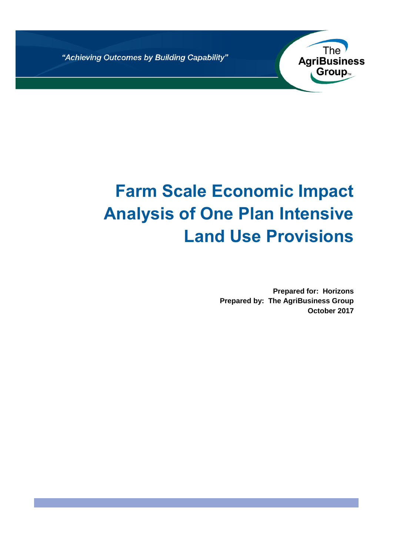"Achieving Outcomes by Building Capability"



# **Farm Scale Economic Impact Analysis of One Plan Intensive Land Use Provisions**

**Prepared for: Horizons Prepared by: The AgriBusiness Group October 2017**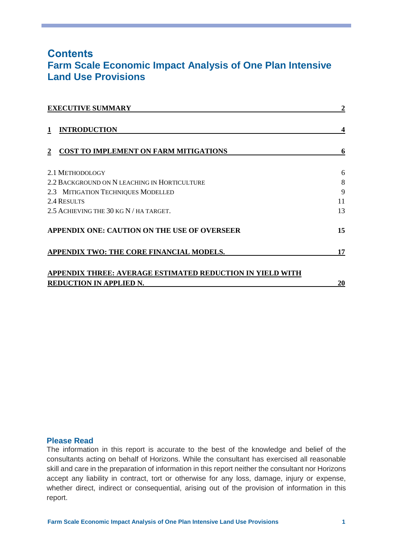## **Contents Farm Scale Economic Impact Analysis of One Plan Intensive Land Use Provisions**

| <b>EXECUTIVE SUMMARY</b>                                  | 2  |
|-----------------------------------------------------------|----|
| <b>INTRODUCTION</b><br>1                                  |    |
| <b>COST TO IMPLEMENT ON FARM MITIGATIONS</b>              | 6  |
| 2.1 METHODOLOGY                                           | 6  |
| 2.2 BACKGROUND ON N LEACHING IN HORTICULTURE              | 8  |
| 2.3 MITIGATION TECHNIQUES MODELLED                        | 9  |
| 2.4 RESULTS                                               | 11 |
| 2.5 ACHIEVING THE 30 KG N / HA TARGET.                    | 13 |
| APPENDIX ONE: CAUTION ON THE USE OF OVERSEER              | 15 |
| APPENDIX TWO: THE CORE FINANCIAL MODELS.                  | 17 |
| APPENDIX THREE: AVERAGE ESTIMATED REDUCTION IN YIELD WITH |    |
| <b>REDUCTION IN APPLIED N.</b>                            | 20 |

#### **Please Read**

The information in this report is accurate to the best of the knowledge and belief of the consultants acting on behalf of Horizons. While the consultant has exercised all reasonable skill and care in the preparation of information in this report neither the consultant nor Horizons accept any liability in contract, tort or otherwise for any loss, damage, injury or expense, whether direct, indirect or consequential, arising out of the provision of information in this report.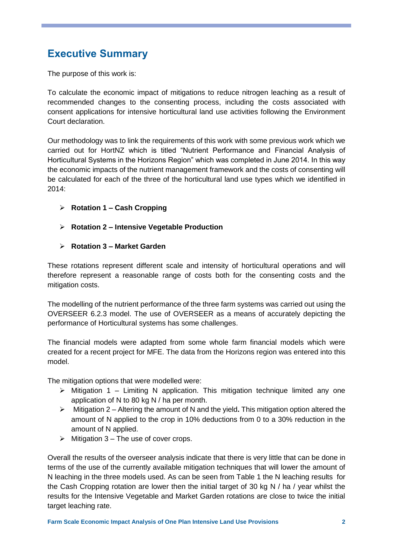# <span id="page-2-0"></span>**Executive Summary**

The purpose of this work is:

To calculate the economic impact of mitigations to reduce nitrogen leaching as a result of recommended changes to the consenting process, including the costs associated with consent applications for intensive horticultural land use activities following the Environment Court declaration.

Our methodology was to link the requirements of this work with some previous work which we carried out for HortNZ which is titled "Nutrient Performance and Financial Analysis of Horticultural Systems in the Horizons Region" which was completed in June 2014. In this way the economic impacts of the nutrient management framework and the costs of consenting will be calculated for each of the three of the horticultural land use types which we identified in 2014:

- **Rotation 1 – Cash Cropping**
- **Rotation 2 – Intensive Vegetable Production**
- **Rotation 3 – Market Garden**

These rotations represent different scale and intensity of horticultural operations and will therefore represent a reasonable range of costs both for the consenting costs and the mitigation costs.

The modelling of the nutrient performance of the three farm systems was carried out using the OVERSEER 6.2.3 model. The use of OVERSEER as a means of accurately depicting the performance of Horticultural systems has some challenges.

The financial models were adapted from some whole farm financial models which were created for a recent project for MFE. The data from the Horizons region was entered into this model.

The mitigation options that were modelled were:

- $\triangleright$  Mitigation 1 Limiting N application. This mitigation technique limited any one application of N to 80 kg N / ha per month.
- Mitigation 2 Altering the amount of N and the yield**.** This mitigation option altered the amount of N applied to the crop in 10% deductions from 0 to a 30% reduction in the amount of N applied.
- $\triangleright$  Mitigation 3 The use of cover crops.

Overall the results of the overseer analysis indicate that there is very little that can be done in terms of the use of the currently available mitigation techniques that will lower the amount of N leaching in the three models used. As can be seen from [Table 1](#page-3-0) the N leaching results for the Cash Cropping rotation are lower then the initial target of 30 kg N / ha / year whilst the results for the Intensive Vegetable and Market Garden rotations are close to twice the initial target leaching rate.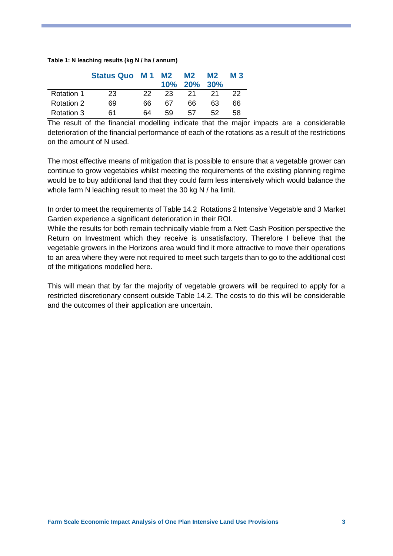#### <span id="page-3-0"></span>**Table 1: N leaching results (kg N / ha / annum)**

|                   | Status Quo M1 M2 |     |    | <b>M2</b><br>10% 20% 30% | M <sub>2</sub> | <b>M3</b> |
|-------------------|------------------|-----|----|--------------------------|----------------|-----------|
| <b>Rotation 1</b> | 23               | 22. | 23 | 21                       | -21            | 22        |
| <b>Rotation 2</b> | 69               | 66  | 67 | 66                       | 63             | 66        |
| Rotation 3        | 61               | 64  | 59 | 57                       | 52.            | 58        |

The result of the financial modelling indicate that the major impacts are a considerable deterioration of the financial performance of each of the rotations as a result of the restrictions on the amount of N used.

The most effective means of mitigation that is possible to ensure that a vegetable grower can continue to grow vegetables whilst meeting the requirements of the existing planning regime would be to buy additional land that they could farm less intensively which would balance the whole farm N leaching result to meet the 30 kg N / ha limit.

In order to meet the requirements of Table 14.2 Rotations 2 Intensive Vegetable and 3 Market Garden experience a significant deterioration in their ROI.

While the results for both remain technically viable from a Nett Cash Position perspective the Return on Investment which they receive is unsatisfactory. Therefore I believe that the vegetable growers in the Horizons area would find it more attractive to move their operations to an area where they were not required to meet such targets than to go to the additional cost of the mitigations modelled here.

This will mean that by far the majority of vegetable growers will be required to apply for a restricted discretionary consent outside Table 14.2. The costs to do this will be considerable and the outcomes of their application are uncertain.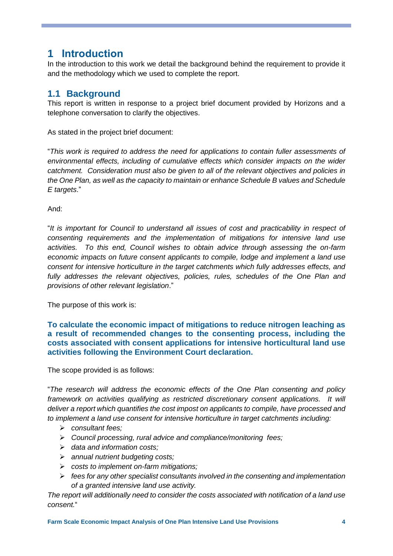# <span id="page-4-0"></span>**1 Introduction**

In the introduction to this work we detail the background behind the requirement to provide it and the methodology which we used to complete the report.

## **1.1 Background**

This report is written in response to a project brief document provided by Horizons and a telephone conversation to clarify the objectives.

As stated in the project brief document:

"*This work is required to address the need for applications to contain fuller assessments of environmental effects, including of cumulative effects which consider impacts on the wider catchment. Consideration must also be given to all of the relevant objectives and policies in the One Plan, as well as the capacity to maintain or enhance Schedule B values and Schedule E targets*."

And:

"*It is important for Council to understand all issues of cost and practicability in respect of consenting requirements and the implementation of mitigations for intensive land use activities. To this end, Council wishes to obtain advice through assessing the on-farm economic impacts on future consent applicants to compile, lodge and implement a land use consent for intensive horticulture in the target catchments which fully addresses effects, and fully addresses the relevant objectives, policies, rules, schedules of the One Plan and provisions of other relevant legislation*."

The purpose of this work is:

**To calculate the economic impact of mitigations to reduce nitrogen leaching as a result of recommended changes to the consenting process, including the costs associated with consent applications for intensive horticultural land use activities following the Environment Court declaration.**

The scope provided is as follows:

"*The research will address the economic effects of the One Plan consenting and policy framework on activities qualifying as restricted discretionary consent applications. It will deliver a report which quantifies the cost impost on applicants to compile, have processed and to implement a land use consent for intensive horticulture in target catchments including:*

- *consultant fees;*
- *Council processing, rural advice and compliance/monitoring fees;*
- *data and information costs;*
- *annual nutrient budgeting costs;*
- *costs to implement on-farm mitigations;*
- *fees for any other specialist consultants involved in the consenting and implementation of a granted intensive land use activity.*

*The report will additionally need to consider the costs associated with notification of a land use consent.*"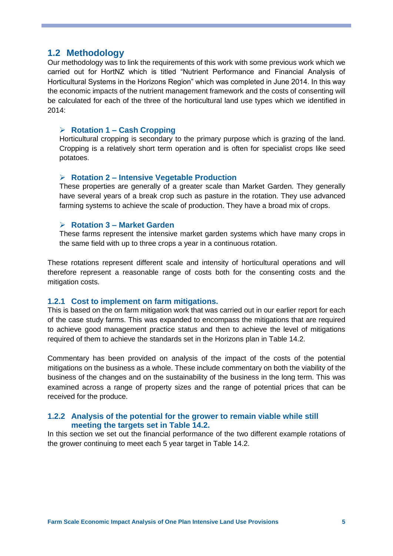#### **1.2 Methodology**

Our methodology was to link the requirements of this work with some previous work which we carried out for HortNZ which is titled "Nutrient Performance and Financial Analysis of Horticultural Systems in the Horizons Region" which was completed in June 2014. In this way the economic impacts of the nutrient management framework and the costs of consenting will be calculated for each of the three of the horticultural land use types which we identified in 2014:

#### **Rotation 1 – Cash Cropping**

Horticultural cropping is secondary to the primary purpose which is grazing of the land. Cropping is a relatively short term operation and is often for specialist crops like seed potatoes.

#### **Rotation 2 – Intensive Vegetable Production**

These properties are generally of a greater scale than Market Garden. They generally have several years of a break crop such as pasture in the rotation. They use advanced farming systems to achieve the scale of production. They have a broad mix of crops.

#### **Rotation 3 – Market Garden**

These farms represent the intensive market garden systems which have many crops in the same field with up to three crops a year in a continuous rotation.

These rotations represent different scale and intensity of horticultural operations and will therefore represent a reasonable range of costs both for the consenting costs and the mitigation costs.

#### **1.2.1 Cost to implement on farm mitigations.**

This is based on the on farm mitigation work that was carried out in our earlier report for each of the case study farms. This was expanded to encompass the mitigations that are required to achieve good management practice status and then to achieve the level of mitigations required of them to achieve the standards set in the Horizons plan in Table 14.2.

Commentary has been provided on analysis of the impact of the costs of the potential mitigations on the business as a whole. These include commentary on both the viability of the business of the changes and on the sustainability of the business in the long term. This was examined across a range of property sizes and the range of potential prices that can be received for the produce.

#### **1.2.2 Analysis of the potential for the grower to remain viable while still meeting the targets set in Table 14.2.**

In this section we set out the financial performance of the two different example rotations of the grower continuing to meet each 5 year target in Table 14.2.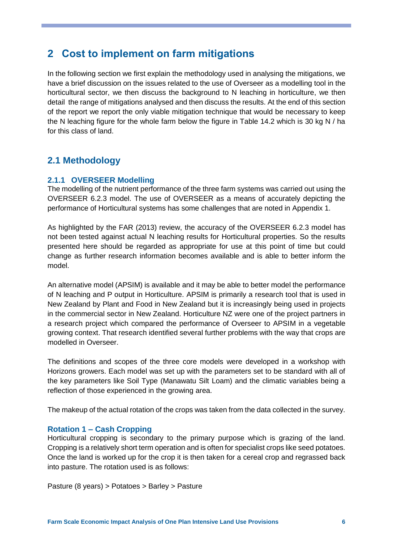# <span id="page-6-0"></span>**2 Cost to implement on farm mitigations**

In the following section we first explain the methodology used in analysing the mitigations, we have a brief discussion on the issues related to the use of Overseer as a modelling tool in the horticultural sector, we then discuss the background to N leaching in horticulture, we then detail the range of mitigations analysed and then discuss the results. At the end of this section of the report we report the only viable mitigation technique that would be necessary to keep the N leaching figure for the whole farm below the figure in Table 14.2 which is 30 kg N / ha for this class of land.

## <span id="page-6-1"></span>**2.1 Methodology**

#### **2.1.1 OVERSEER Modelling**

The modelling of the nutrient performance of the three farm systems was carried out using the OVERSEER 6.2.3 model. The use of OVERSEER as a means of accurately depicting the performance of Horticultural systems has some challenges that are noted in Appendix 1.

As highlighted by the FAR (2013) review, the accuracy of the OVERSEER 6.2.3 model has not been tested against actual N leaching results for Horticultural properties. So the results presented here should be regarded as appropriate for use at this point of time but could change as further research information becomes available and is able to better inform the model.

An alternative model (APSIM) is available and it may be able to better model the performance of N leaching and P output in Horticulture. APSIM is primarily a research tool that is used in New Zealand by Plant and Food in New Zealand but it is increasingly being used in projects in the commercial sector in New Zealand. Horticulture NZ were one of the project partners in a research project which compared the performance of Overseer to APSIM in a vegetable growing context. That research identified several further problems with the way that crops are modelled in Overseer.

The definitions and scopes of the three core models were developed in a workshop with Horizons growers. Each model was set up with the parameters set to be standard with all of the key parameters like Soil Type (Manawatu Silt Loam) and the climatic variables being a reflection of those experienced in the growing area.

The makeup of the actual rotation of the crops was taken from the data collected in the survey.

#### **Rotation 1 – Cash Cropping**

Horticultural cropping is secondary to the primary purpose which is grazing of the land. Cropping is a relatively short term operation and is often for specialist crops like seed potatoes. Once the land is worked up for the crop it is then taken for a cereal crop and regrassed back into pasture. The rotation used is as follows:

Pasture (8 years) > Potatoes > Barley > Pasture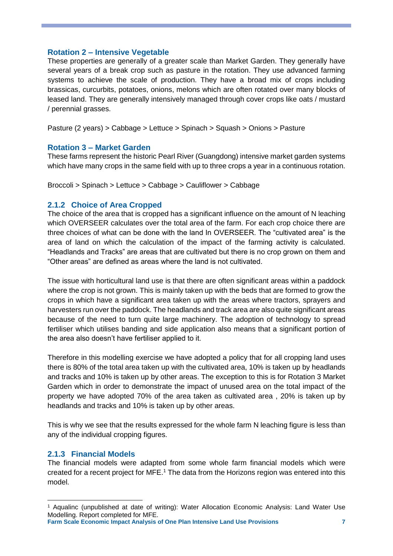#### **Rotation 2 – Intensive Vegetable**

These properties are generally of a greater scale than Market Garden. They generally have several years of a break crop such as pasture in the rotation. They use advanced farming systems to achieve the scale of production. They have a broad mix of crops including brassicas, curcurbits, potatoes, onions, melons which are often rotated over many blocks of leased land. They are generally intensively managed through cover crops like oats / mustard / perennial grasses.

Pasture (2 years) > Cabbage > Lettuce > Spinach > Squash > Onions > Pasture

#### **Rotation 3 – Market Garden**

These farms represent the historic Pearl River (Guangdong) intensive market garden systems which have many crops in the same field with up to three crops a year in a continuous rotation.

Broccoli > Spinach > Lettuce > Cabbage > Cauliflower > Cabbage

#### **2.1.2 Choice of Area Cropped**

The choice of the area that is cropped has a significant influence on the amount of N leaching which OVERSEER calculates over the total area of the farm. For each crop choice there are three choices of what can be done with the land In OVERSEER. The "cultivated area" is the area of land on which the calculation of the impact of the farming activity is calculated. "Headlands and Tracks" are areas that are cultivated but there is no crop grown on them and "Other areas" are defined as areas where the land is not cultivated.

The issue with horticultural land use is that there are often significant areas within a paddock where the crop is not grown. This is mainly taken up with the beds that are formed to grow the crops in which have a significant area taken up with the areas where tractors, sprayers and harvesters run over the paddock. The headlands and track area are also quite significant areas because of the need to turn quite large machinery. The adoption of technology to spread fertiliser which utilises banding and side application also means that a significant portion of the area also doesn't have fertiliser applied to it.

Therefore in this modelling exercise we have adopted a policy that for all cropping land uses there is 80% of the total area taken up with the cultivated area, 10% is taken up by headlands and tracks and 10% is taken up by other areas. The exception to this is for Rotation 3 Market Garden which in order to demonstrate the impact of unused area on the total impact of the property we have adopted 70% of the area taken as cultivated area , 20% is taken up by headlands and tracks and 10% is taken up by other areas.

This is why we see that the results expressed for the whole farm N leaching figure is less than any of the individual cropping figures.

#### **2.1.3 Financial Models**

-

The financial models were adapted from some whole farm financial models which were created for a recent project for MFE. <sup>1</sup> The data from the Horizons region was entered into this model.

**Farm Scale Economic Impact Analysis of One Plan Intensive Land Use Provisions 7**

<sup>1</sup> Aqualinc (unpublished at date of writing): Water Allocation Economic Analysis: Land Water Use Modelling. Report completed for MFE.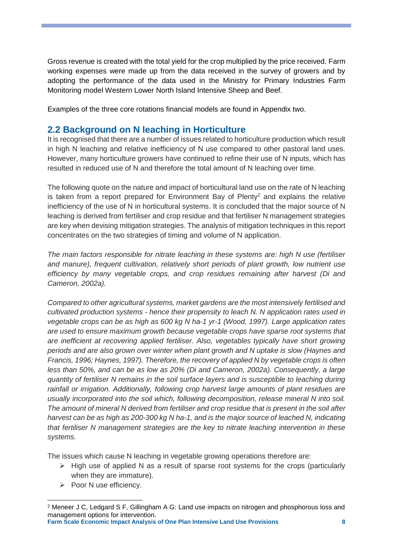Gross revenue is created with the total yield for the crop multiplied by the price received. Farm working expenses were made up from the data received in the survey of growers and by adopting the performance of the data used in the Ministry for Primary Industries Farm Monitoring model Western Lower North Island Intensive Sheep and Beef.

Examples of the three core rotations financial models are found in Appendix two.

## <span id="page-8-0"></span>**2.2 Background on N leaching in Horticulture**

It is recognised that there are a number of issues related to horticulture production which result in high N leaching and relative inefficiency of N use compared to other pastoral land uses. However, many horticulture growers have continued to refine their use of N inputs, which has resulted in reduced use of N and therefore the total amount of N leaching over time.

The following quote on the nature and impact of horticultural land use on the rate of N leaching is taken from a report prepared for Environment Bay of Plenty<sup>2</sup> and explains the relative inefficiency of the use of N in horticultural systems. It is concluded that the major source of N leaching is derived from fertiliser and crop residue and that fertiliser N management strategies are key when devising mitigation strategies. The analysis of mitigation techniques in this report concentrates on the two strategies of timing and volume of N application.

*The main factors responsible for nitrate leaching in these systems are: high N use (fertiliser and manure), frequent cultivation, relatively short periods of plant growth, low nutrient use efficiency by many vegetable crops, and crop residues remaining after harvest (Di and Cameron, 2002a).* 

*Compared to other agricultural systems, market gardens are the most intensively fertilised and cultivated production systems - hence their propensity to leach N. N application rates used in vegetable crops can be as high as 600 kg N ha-1 yr-1 (Wood, 1997). Large application rates are used to ensure maximum growth because vegetable crops have sparse root systems that are inefficient at recovering applied fertiliser. Also, vegetables typically have short growing periods and are also grown over winter when plant growth and N uptake is slow (Haynes and Francis, 1996; Haynes, 1997). Therefore, the recovery of applied N by vegetable crops is often less than 50%, and can be as low as 20% (Di and Cameron, 2002a). Consequently, a large quantity of fertiliser N remains in the soil surface layers and is susceptible to leaching during rainfall or irrigation. Additionally, following crop harvest large amounts of plant residues are usually incorporated into the soil which, following decomposition, release mineral N into soil. The amount of mineral N derived from fertiliser and crop residue that is present in the soil after harvest can be as high as 200-300 kg N ha-1, and is the major source of leached N, indicating that fertiliser N management strategies are the key to nitrate leaching intervention in these systems.*

The issues which cause N leaching in vegetable growing operations therefore are:

- $\triangleright$  High use of applied N as a result of sparse root systems for the crops (particularly when they are immature).
- $\triangleright$  Poor N use efficiency.

**Farm Scale Economic Impact Analysis of One Plan Intensive Land Use Provisions 8**

<sup>-</sup><sup>2</sup> Meneer J C, Ledgard S F, Gillingham A G: Land use impacts on nitrogen and phosphorous loss and management options for intervention.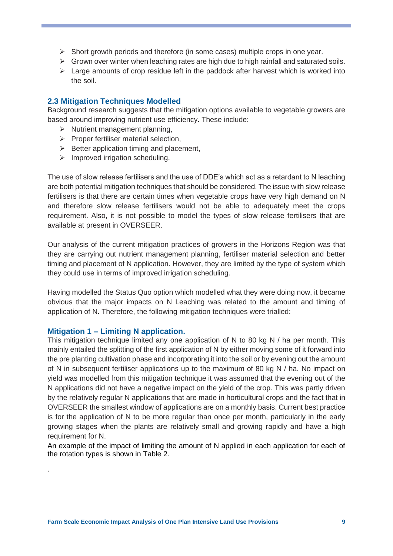- $\triangleright$  Short growth periods and therefore (in some cases) multiple crops in one year.
- $\triangleright$  Grown over winter when leaching rates are high due to high rainfall and saturated soils.
- $\triangleright$  Large amounts of crop residue left in the paddock after harvest which is worked into the soil.

#### <span id="page-9-0"></span>**2.3 Mitigation Techniques Modelled**

Background research suggests that the mitigation options available to vegetable growers are based around improving nutrient use efficiency. These include:

- $\triangleright$  Nutrient management planning,
- $\triangleright$  Proper fertiliser material selection,
- $\triangleright$  Better application timing and placement,
- $\triangleright$  Improved irrigation scheduling.

The use of slow release fertilisers and the use of DDE's which act as a retardant to N leaching are both potential mitigation techniques that should be considered. The issue with slow release fertilisers is that there are certain times when vegetable crops have very high demand on N and therefore slow release fertilisers would not be able to adequately meet the crops requirement. Also, it is not possible to model the types of slow release fertilisers that are available at present in OVERSEER.

Our analysis of the current mitigation practices of growers in the Horizons Region was that they are carrying out nutrient management planning, fertiliser material selection and better timing and placement of N application. However, they are limited by the type of system which they could use in terms of improved irrigation scheduling.

Having modelled the Status Quo option which modelled what they were doing now, it became obvious that the major impacts on N Leaching was related to the amount and timing of application of N. Therefore, the following mitigation techniques were trialled:

#### **Mitigation 1 – Limiting N application.**

.

This mitigation technique limited any one application of N to 80 kg N / ha per month. This mainly entailed the splitting of the first application of N by either moving some of it forward into the pre planting cultivation phase and incorporating it into the soil or by evening out the amount of N in subsequent fertiliser applications up to the maximum of 80 kg N / ha. No impact on yield was modelled from this mitigation technique it was assumed that the evening out of the N applications did not have a negative impact on the yield of the crop. This was partly driven by the relatively regular N applications that are made in horticultural crops and the fact that in OVERSEER the smallest window of applications are on a monthly basis. Current best practice is for the application of N to be more regular than once per month, particularly in the early growing stages when the plants are relatively small and growing rapidly and have a high requirement for N.

An example of the impact of limiting the amount of N applied in each application for each of the rotation types is shown in Table 2.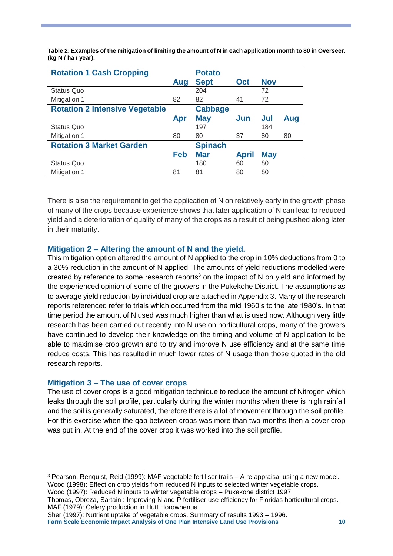**Table 2: Examples of the mitigation of limiting the amount of N in each application month to 80 in Overseer. (kg N / ha / year).**

| <b>Rotation 1 Cash Cropping</b>       |     | <b>Potato</b>  |              |            |     |
|---------------------------------------|-----|----------------|--------------|------------|-----|
|                                       | Aug | <b>Sept</b>    | Oct          | <b>Nov</b> |     |
| Status Quo                            |     | 204            |              | 72         |     |
| Mitigation 1                          | 82  | 82             | 41           | 72         |     |
| <b>Rotation 2 Intensive Vegetable</b> |     | <b>Cabbage</b> |              |            |     |
|                                       | Apr | <b>May</b>     | Jun          | Jul        | Aug |
| <b>Status Quo</b>                     |     | 197            |              | 184        |     |
| Mitigation 1                          | 80  | 80             | 37           | 80         | 80  |
| <b>Rotation 3 Market Garden</b>       |     | <b>Spinach</b> |              |            |     |
|                                       | Feb | <b>Mar</b>     | <b>April</b> | <b>May</b> |     |
| <b>Status Quo</b>                     |     | 180            | 60           | 80         |     |
| Mitigation 1                          | 81  | 81             | 80           | 80         |     |

There is also the requirement to get the application of N on relatively early in the growth phase of many of the crops because experience shows that later application of N can lead to reduced yield and a deterioration of quality of many of the crops as a result of being pushed along later in their maturity.

#### **Mitigation 2 – Altering the amount of N and the yield.**

This mitigation option altered the amount of N applied to the crop in 10% deductions from 0 to a 30% reduction in the amount of N applied. The amounts of yield reductions modelled were created by reference to some research reports<sup>3</sup> on the impact of N on yield and informed by the experienced opinion of some of the growers in the Pukekohe District. The assumptions as to average yield reduction by individual crop are attached in Appendix 3. Many of the research reports referenced refer to trials which occurred from the mid 1960's to the late 1980's. In that time period the amount of N used was much higher than what is used now. Although very little research has been carried out recently into N use on horticultural crops, many of the growers have continued to develop their knowledge on the timing and volume of N application to be able to maximise crop growth and to try and improve N use efficiency and at the same time reduce costs. This has resulted in much lower rates of N usage than those quoted in the old research reports.

#### **Mitigation 3 – The use of cover crops**

-

The use of cover crops is a good mitigation technique to reduce the amount of Nitrogen which leaks through the soil profile, particularly during the winter months when there is high rainfall and the soil is generally saturated, therefore there is a lot of movement through the soil profile. For this exercise when the gap between crops was more than two months then a cover crop was put in. At the end of the cover crop it was worked into the soil profile.

Wood (1997): Reduced N inputs to winter vegetable crops – Pukekohe district 1997.

<sup>3</sup> Pearson, Renquist, Reid (1999): MAF vegetable fertiliser trails – A re appraisal using a new model. Wood (1998): Effect on crop yields from reduced N inputs to selected winter vegetable crops.

Thomas, Obreza, Sartain : Improving N and P fertiliser use efficiency for Floridas horticultural crops. MAF (1979): Celery production in Hutt Horowhenua.

**Farm Scale Economic Impact Analysis of One Plan Intensive Land Use Provisions 10** Sher (1997): Nutrient uptake of vegetable crops. Summary of results 1993 – 1996.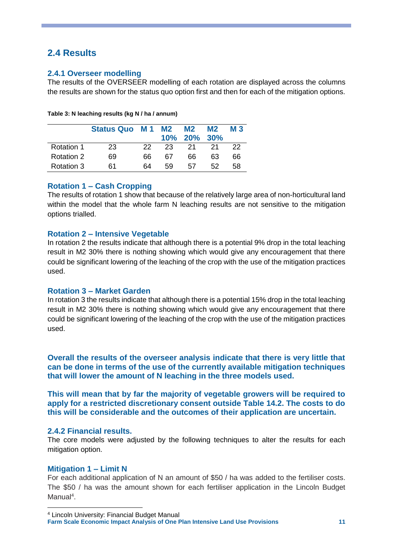## <span id="page-11-0"></span>**2.4 Results**

#### **2.4.1 Overseer modelling**

The results of the OVERSEER modelling of each rotation are displayed across the columns the results are shown for the status quo option first and then for each of the mitigation options.

|                   | Status Quo M 1 M2 |     |    | <b>M2</b><br>10% 20% 30% | M <sub>2</sub> | <b>M3</b> |
|-------------------|-------------------|-----|----|--------------------------|----------------|-----------|
| <b>Rotation 1</b> | 23                | 22. | 23 | 21                       | 21             | 22        |
| <b>Rotation 2</b> | 69                | 66  | 67 | 66                       | 63             | 66        |
| Rotation 3        | 61                | 64  | 59 | 57                       | 52             | 58        |

#### **Rotation 1 – Cash Cropping**

The results of rotation 1 show that because of the relatively large area of non-horticultural land within the model that the whole farm N leaching results are not sensitive to the mitigation options trialled.

#### **Rotation 2 – Intensive Vegetable**

In rotation 2 the results indicate that although there is a potential 9% drop in the total leaching result in M2 30% there is nothing showing which would give any encouragement that there could be significant lowering of the leaching of the crop with the use of the mitigation practices used.

#### **Rotation 3 – Market Garden**

In rotation 3 the results indicate that although there is a potential 15% drop in the total leaching result in M2 30% there is nothing showing which would give any encouragement that there could be significant lowering of the leaching of the crop with the use of the mitigation practices used.

**Overall the results of the overseer analysis indicate that there is very little that can be done in terms of the use of the currently available mitigation techniques that will lower the amount of N leaching in the three models used.**

**This will mean that by far the majority of vegetable growers will be required to apply for a restricted discretionary consent outside Table 14.2. The costs to do this will be considerable and the outcomes of their application are uncertain.** 

#### **2.4.2 Financial results.**

The core models were adjusted by the following techniques to alter the results for each mitigation option.

#### **Mitigation 1 – Limit N**

-

For each additional application of N an amount of \$50 / ha was added to the fertiliser costs. The \$50 / ha was the amount shown for each fertiliser application in the Lincoln Budget Manual<sup>4</sup>.

**Farm Scale Economic Impact Analysis of One Plan Intensive Land Use Provisions 11** <sup>4</sup> Lincoln University: Financial Budget Manual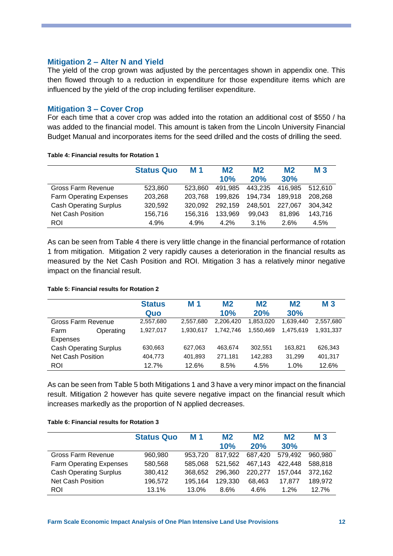#### **Mitigation 2 – Alter N and Yield**

The yield of the crop grown was adjusted by the percentages shown in appendix one. This then flowed through to a reduction in expenditure for those expenditure items which are influenced by the yield of the crop including fertiliser expenditure.

#### **Mitigation 3 – Cover Crop**

For each time that a cover crop was added into the rotation an additional cost of \$550 / ha was added to the financial model. This amount is taken from the Lincoln University Financial Budget Manual and incorporates items for the seed drilled and the costs of drilling the seed.

|                                | <b>Status Quo</b> | M 1     | M <sub>2</sub><br>10% | M <sub>2</sub><br>20% | M <sub>2</sub><br>30% | M <sub>3</sub> |
|--------------------------------|-------------------|---------|-----------------------|-----------------------|-----------------------|----------------|
| Gross Farm Revenue             | 523,860           | 523.860 | 491.985               | 443,235               | 416.985               | 512.610        |
| <b>Farm Operating Expenses</b> | 203,268           | 203.768 | 199.826               | 194,734               | 189.918               | 208,268        |
| <b>Cash Operating Surplus</b>  | 320,592           | 320.092 | 292,159               | 248,501               | 227.067               | 304,342        |
| Net Cash Position              | 156,716           | 156.316 | 133.969               | 99.043                | 81.896                | 143,716        |
| ROI                            | 4.9%              | 4.9%    | $4.2\%$               | 3.1%                  | 2.6%                  | 4.5%           |

<span id="page-12-0"></span>**Table 4: Financial results for Rotation 1** 

As can be seen fro[m Table 4](#page-12-0) there is very little change in the financial performance of rotation 1 from mitigation. Mitigation 2 very rapidly causes a deterioration in the financial results as measured by the Net Cash Position and ROI. Mitigation 3 has a relatively minor negative impact on the financial result.

#### <span id="page-12-1"></span>**Table 5: Financial results for Rotation 2**

|                               |           | <b>Status</b><br>Quo | M 1       | M <sub>2</sub><br>10% | M2<br>20% | M <sub>2</sub><br>30% | M <sub>3</sub> |
|-------------------------------|-----------|----------------------|-----------|-----------------------|-----------|-----------------------|----------------|
| Gross Farm Revenue            |           | 2,557,680            | 2,557,680 | 2,206,420             | 1,853,020 | 1,639,440             | 2.557.680      |
| Farm                          | Operating | 1,927,017            | 1,930,617 | 1.742.746             | 1.550.469 | 1.475.619             | 1,931,337      |
| Expenses                      |           |                      |           |                       |           |                       |                |
| <b>Cash Operating Surplus</b> |           | 630,663              | 627,063   | 463,674               | 302,551   | 163,821               | 626,343        |
| <b>Net Cash Position</b>      |           | 404,773              | 401,893   | 271,181               | 142,283   | 31,299                | 401,317        |
| <b>ROI</b>                    |           | 12.7%                | 12.6%     | 8.5%                  | 4.5%      | 1.0%                  | 12.6%          |

As can be seen fro[m Table 5](#page-12-1) both Mitigations 1 and 3 have a very minor impact on the financial result. Mitigation 2 however has quite severe negative impact on the financial result which increases markedly as the proportion of N applied decreases.

#### <span id="page-12-2"></span>**Table 6: Financial results for Rotation 3**

|                                | <b>Status Quo</b> | M 1     | M <sub>2</sub> | M <sub>2</sub> | M <sub>2</sub> | <b>M3</b> |
|--------------------------------|-------------------|---------|----------------|----------------|----------------|-----------|
|                                |                   |         | 10%            | 20%            | 30%            |           |
| Gross Farm Revenue             | 960,980           | 953.720 | 817.922        | 687.420        | 579.492        | 960.980   |
| <b>Farm Operating Expenses</b> | 580,568           | 585.068 | 521.562        | 467.143        | 422.448        | 588,818   |
| <b>Cash Operating Surplus</b>  | 380,412           | 368,652 | 296.360        | 220.277        | 157.044        | 372,162   |
| Net Cash Position              | 196.572           | 195.164 | 129.330        | 68.463         | 17.877         | 189,972   |
| <b>ROI</b>                     | 13.1%             | 13.0%   | $8.6\%$        | 4.6%           | 1.2%           | 12.7%     |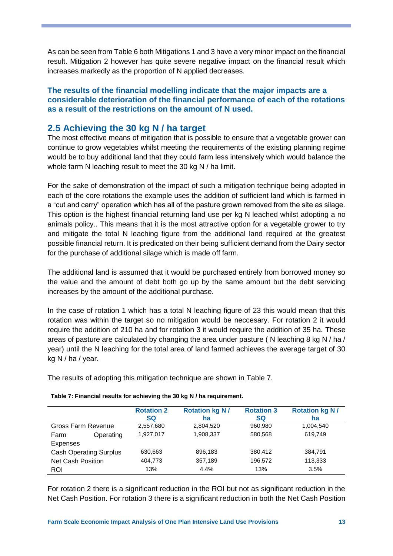As can be seen fro[m Table 6](#page-12-2) both Mitigations 1 and 3 have a very minor impact on the financial result. Mitigation 2 however has quite severe negative impact on the financial result which increases markedly as the proportion of N applied decreases.

#### **The results of the financial modelling indicate that the major impacts are a considerable deterioration of the financial performance of each of the rotations as a result of the restrictions on the amount of N used.**

## <span id="page-13-0"></span>**2.5 Achieving the 30 kg N / ha target**

The most effective means of mitigation that is possible to ensure that a vegetable grower can continue to grow vegetables whilst meeting the requirements of the existing planning regime would be to buy additional land that they could farm less intensively which would balance the whole farm N leaching result to meet the 30 kg N / ha limit.

For the sake of demonstration of the impact of such a mitigation technique being adopted in each of the core rotations the example uses the addition of sufficient land which is farmed in a "cut and carry" operation which has all of the pasture grown removed from the site as silage. This option is the highest financial returning land use per kg N leached whilst adopting a no animals policy.. This means that it is the most attractive option for a vegetable grower to try and mitigate the total N leaching figure from the additional land required at the greatest possible financial return. It is predicated on their being sufficient demand from the Dairy sector for the purchase of additional silage which is made off farm.

The additional land is assumed that it would be purchased entirely from borrowed money so the value and the amount of debt both go up by the same amount but the debt servicing increases by the amount of the additional purchase.

In the case of rotation 1 which has a total N leaching figure of 23 this would mean that this rotation was within the target so no mitigation would be neccesary. For rotation 2 it would require the addition of 210 ha and for rotation 3 it would require the addition of 35 ha. These areas of pasture are calculated by changing the area under pasture ( N leaching 8 kg N / ha / year) until the N leaching for the total area of land farmed achieves the average target of 30 kg N / ha / year.

The results of adopting this mitigation technique are shown in [Table 7.](#page-13-1)

|                               |           | <b>Rotation 2</b><br><b>SQ</b> | <b>Rotation kg N/</b><br>ha | <b>Rotation 3</b><br><b>SQ</b> | <b>Rotation kg N/</b><br>ha |
|-------------------------------|-----------|--------------------------------|-----------------------------|--------------------------------|-----------------------------|
| Gross Farm Revenue            |           | 2,557,680                      | 2,804,520                   | 960,980                        | 1,004,540                   |
| Farm                          | Operating | 1.927.017                      | 1,908,337                   | 580.568                        | 619.749                     |
| <b>Expenses</b>               |           |                                |                             |                                |                             |
| <b>Cash Operating Surplus</b> |           | 630,663                        | 896,183                     | 380,412                        | 384.791                     |
| <b>Net Cash Position</b>      |           | 404,773                        | 357,189                     | 196,572                        | 113,333                     |
| ROI                           |           | 13%                            | 4.4%                        | 13%                            | 3.5%                        |

#### <span id="page-13-1"></span> **Table 7: Financial results for achieving the 30 kg N / ha requirement.**

For rotation 2 there is a significant reduction in the ROI but not as significant reduction in the Net Cash Position. For rotation 3 there is a significant reduction in both the Net Cash Position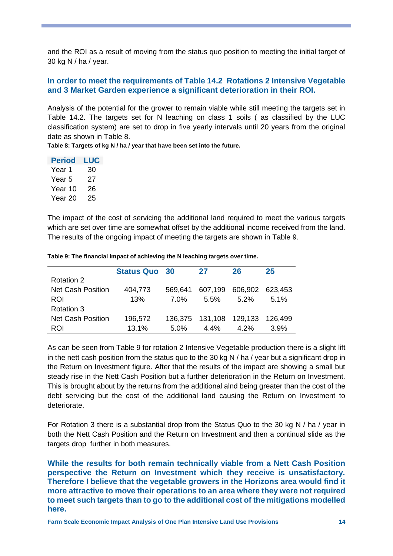and the ROI as a result of moving from the status quo position to meeting the initial target of 30 kg N / ha / year.

#### **In order to meet the requirements of Table 14.2 Rotations 2 Intensive Vegetable and 3 Market Garden experience a significant deterioration in their ROI.**

Analysis of the potential for the grower to remain viable while still meeting the targets set in Table 14.2. The targets set for N leaching on class 1 soils ( as classified by the LUC classification system) are set to drop in five yearly intervals until 20 years from the original date as shown in [Table 8.](#page-14-0)

<span id="page-14-0"></span>**Table 8: Targets of kg N / ha / year that have been set into the future.** 

| LUC |
|-----|
| 30  |
| 27  |
| 26  |
| 25  |
|     |

The impact of the cost of servicing the additional land required to meet the various targets which are set over time are somewhat offset by the additional income received from the land. The results of the ongoing impact of meeting the targets are shown in [Table 9.](#page-14-1)

|                          | <b>Status Quo 30</b> |         | 27                        | 26                      | 25      |
|--------------------------|----------------------|---------|---------------------------|-------------------------|---------|
| Rotation 2               |                      |         |                           |                         |         |
| <b>Net Cash Position</b> | 404,773              | 569.641 |                           | 607,199 606,902 623,453 |         |
| ROI                      | 13%                  | 7.0%    | 5.5%                      | $5.2\%$                 | $5.1\%$ |
| Rotation 3               |                      |         |                           |                         |         |
| <b>Net Cash Position</b> | 196,572              |         | 136,375  131,108  129,133 |                         | 126.499 |
| ROI                      | 13.1%                | $5.0\%$ | 4.4%                      | 4.2%                    | 3.9%    |

<span id="page-14-1"></span>**Table 9: The financial impact of achieving the N leaching targets over time.**

As can be seen from [Table 9](#page-14-1) for rotation 2 Intensive Vegetable production there is a slight lift in the nett cash position from the status quo to the 30 kg N  $/$  ha  $/$  year but a significant drop in the Return on Investment figure. After that the results of the impact are showing a small but steady rise in the Nett Cash Position but a further deterioration in the Return on Investment. This is brought about by the returns from the additional alnd being greater than the cost of the debt servicing but the cost of the additional land causing the Return on Investment to deteriorate.

For Rotation 3 there is a substantial drop from the Status Quo to the 30 kg N / ha / year in both the Nett Cash Position and the Return on Investment and then a continual slide as the targets drop further in both measures.

**While the results for both remain technically viable from a Nett Cash Position perspective the Return on Investment which they receive is unsatisfactory. Therefore I believe that the vegetable growers in the Horizons area would find it more attractive to move their operations to an area where they were not required to meet such targets than to go to the additional cost of the mitigations modelled here.**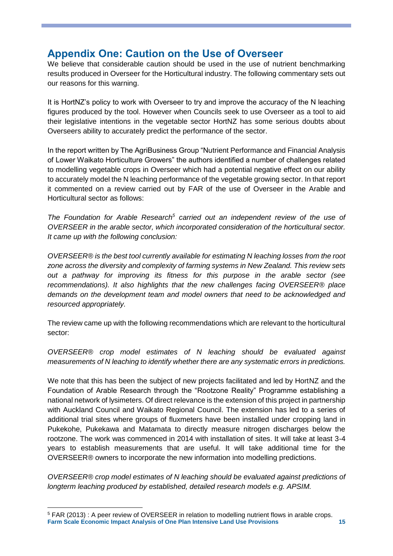# <span id="page-15-0"></span>**Appendix One: Caution on the Use of Overseer**

We believe that considerable caution should be used in the use of nutrient benchmarking results produced in Overseer for the Horticultural industry. The following commentary sets out our reasons for this warning.

It is HortNZ's policy to work with Overseer to try and improve the accuracy of the N leaching figures produced by the tool. However when Councils seek to use Overseer as a tool to aid their legislative intentions in the vegetable sector HortNZ has some serious doubts about Overseers ability to accurately predict the performance of the sector.

In the report written by The AgriBusiness Group "Nutrient Performance and Financial Analysis of Lower Waikato Horticulture Growers" the authors identified a number of challenges related to modelling vegetable crops in Overseer which had a potential negative effect on our ability to accurately model the N leaching performance of the vegetable growing sector. In that report it commented on a review carried out by FAR of the use of Overseer in the Arable and Horticultural sector as follows:

*The Foundation for Arable Research<sup>5</sup> carried out an independent review of the use of OVERSEER in the arable sector, which incorporated consideration of the horticultural sector. It came up with the following conclusion:*

*OVERSEER® is the best tool currently available for estimating N leaching losses from the root zone across the diversity and complexity of farming systems in New Zealand. This review sets out a pathway for improving its fitness for this purpose in the arable sector (see recommendations). It also highlights that the new challenges facing OVERSEER® place demands on the development team and model owners that need to be acknowledged and resourced appropriately.*

The review came up with the following recommendations which are relevant to the horticultural sector:

*OVERSEER® crop model estimates of N leaching should be evaluated against measurements of N leaching to identify whether there are any systematic errors in predictions.*

We note that this has been the subject of new projects facilitated and led by HortNZ and the Foundation of Arable Research through the "Rootzone Reality" Programme establishing a national network of lysimeters. Of direct relevance is the extension of this project in partnership with Auckland Council and Waikato Regional Council. The extension has led to a series of additional trial sites where groups of fluxmeters have been installed under cropping land in Pukekohe, Pukekawa and Matamata to directly measure nitrogen discharges below the rootzone. The work was commenced in 2014 with installation of sites. It will take at least 3-4 years to establish measurements that are useful. It will take additional time for the OVERSEER*®* owners to incorporate the new information into modelling predictions.

*OVERSEER® crop model estimates of N leaching should be evaluated against predictions of longterm leaching produced by established, detailed research models e.g. APSIM.*

-

**Farm Scale Economic Impact Analysis of One Plan Intensive Land Use Provisions 15** <sup>5</sup> FAR (2013) : A peer review of OVERSEER in relation to modelling nutrient flows in arable crops.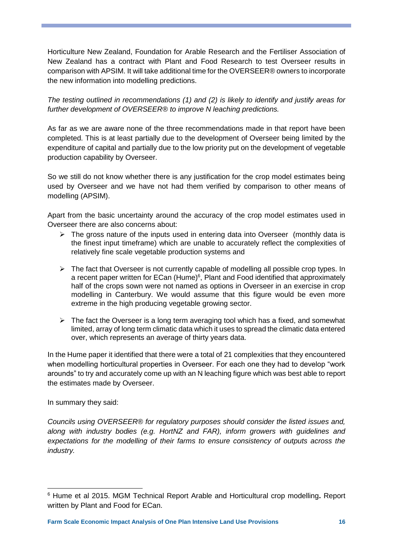Horticulture New Zealand, Foundation for Arable Research and the Fertiliser Association of New Zealand has a contract with Plant and Food Research to test Overseer results in comparison with APSIM. It will take additional time for the OVERSEER*®* owners to incorporate the new information into modelling predictions.

*The testing outlined in recommendations (1) and (2) is likely to identify and justify areas for further development of OVERSEER® to improve N leaching predictions.*

As far as we are aware none of the three recommendations made in that report have been completed. This is at least partially due to the development of Overseer being limited by the expenditure of capital and partially due to the low priority put on the development of vegetable production capability by Overseer.

So we still do not know whether there is any justification for the crop model estimates being used by Overseer and we have not had them verified by comparison to other means of modelling (APSIM).

Apart from the basic uncertainty around the accuracy of the crop model estimates used in Overseer there are also concerns about:

- $\triangleright$  The gross nature of the inputs used in entering data into Overseer (monthly data is the finest input timeframe) which are unable to accurately reflect the complexities of relatively fine scale vegetable production systems and
- $\triangleright$  The fact that Overseer is not currently capable of modelling all possible crop types. In a recent paper written for ECan (Hume)<sup>6</sup>, Plant and Food identified that approximately half of the crops sown were not named as options in Overseer in an exercise in crop modelling in Canterbury. We would assume that this figure would be even more extreme in the high producing vegetable growing sector.
- $\triangleright$  The fact the Overseer is a long term averaging tool which has a fixed, and somewhat limited, array of long term climatic data which it uses to spread the climatic data entered over, which represents an average of thirty years data.

In the Hume paper it identified that there were a total of 21 complexities that they encountered when modelling horticultural properties in Overseer. For each one they had to develop "work arounds" to try and accurately come up with an N leaching figure which was best able to report the estimates made by Overseer.

In summary they said:

*Councils using OVERSEER® for regulatory purposes should consider the listed issues and, along with industry bodies (e.g. HortNZ and FAR), inform growers with guidelines and expectations for the modelling of their farms to ensure consistency of outputs across the industry.*

<sup>-</sup><sup>6</sup> Hume et al 2015. MGM Technical Report Arable and Horticultural crop modelling**.** Report written by Plant and Food for ECan.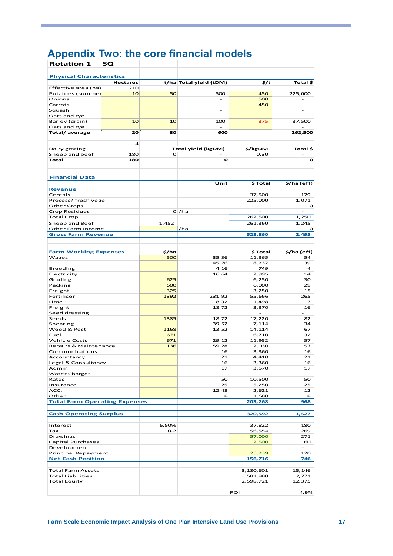# <span id="page-17-0"></span>**Appendix Two: the core financial models**

| <b>Rotation 1</b>                              | sQ              |       |                          |                          |                          |
|------------------------------------------------|-----------------|-------|--------------------------|--------------------------|--------------------------|
| <b>Physical Characteristics</b>                |                 |       |                          |                          |                          |
|                                                | <b>Hectares</b> |       | t/ha Total yield (tDM)   | \$/t                     | Total \$                 |
| Effective area (ha)                            | 210             |       |                          |                          |                          |
| Potatoes (summer                               | 10              | 50    | 500                      | 450                      | 225,000                  |
| Onions                                         |                 |       | $\overline{\phantom{0}}$ | 500                      |                          |
| Carrots                                        |                 |       | $\overline{\phantom{0}}$ | 450                      | $\overline{\phantom{0}}$ |
| Squash<br>Oats and rye                         |                 |       | $\overline{\phantom{a}}$ |                          | $\overline{\phantom{a}}$ |
| Barley (grain)                                 | 10              | 10    | 100                      | 375                      | 37,500                   |
| Oats and rye                                   |                 |       |                          |                          |                          |
| Total/average                                  | 20              | 30    | 600                      |                          | 262,500                  |
|                                                |                 |       |                          |                          |                          |
|                                                | 4               |       |                          |                          |                          |
| Dairy grazing                                  |                 |       | Total yield (kgDM)       | \$/kgDM                  | Total \$                 |
| Sheep and beef                                 | 180             | O     |                          | 0.30                     |                          |
| Total                                          | 180             |       | o                        |                          | O                        |
|                                                |                 |       |                          |                          |                          |
|                                                |                 |       |                          |                          |                          |
| <b>Financial Data</b>                          |                 |       |                          |                          |                          |
|                                                |                 |       | Unit                     | \$ Total                 | \$/ha (eff)              |
| <b>Revenue</b>                                 |                 |       |                          |                          |                          |
| Cereals                                        |                 |       |                          | 37,500                   | 179                      |
| Process/ fresh vege                            |                 |       |                          | 225,000                  | 1,071                    |
| Other Crops                                    |                 |       |                          |                          | O                        |
| Crop Residues                                  |                 |       | 0 /ha                    |                          |                          |
| <b>Total Crop</b>                              |                 |       |                          | 262,500                  | 1,250                    |
| Sheep and Beef                                 |                 | 1,452 |                          | 261,360                  | 1,245                    |
| Other Farm Income<br><b>Gross Farm Revenue</b> |                 |       | /ha                      | 523,860                  | o<br>2,495               |
|                                                |                 |       |                          |                          |                          |
|                                                |                 |       |                          |                          |                          |
| <b>Farm Working Expenses</b>                   |                 | \$/ha |                          | \$ Total                 | \$/ha (eff)              |
| Wages                                          |                 | 500   | 35.36                    | 11,365                   | 54                       |
|                                                |                 |       | 45.76                    | 8,237                    | 39                       |
| Breeding                                       |                 |       | 4.16                     | 749                      | $\overline{a}$           |
| Electricity                                    |                 |       | 16.64                    | 2,995                    | 14                       |
| Grading                                        |                 | 625   |                          | 6,250                    | 30                       |
| Packing                                        |                 | 600   |                          | 6,000                    | 29                       |
| Freight                                        |                 | 325   |                          | 3,250                    | 15                       |
| Fertiliser                                     |                 | 1392  | 231.92                   | 55,666                   | 265                      |
| Lime                                           |                 |       | 8.32                     | 1,498                    | 7                        |
| Freight                                        |                 |       | 18.72                    | 3,370                    | 16                       |
| Seed dressing                                  |                 |       |                          | $\overline{\phantom{a}}$ | $\overline{\phantom{0}}$ |
| Seeds                                          |                 | 1385  | 18.72                    | 17,220                   | 82                       |
| Shearing                                       |                 |       | 39.52                    | 7,114                    | 34                       |
| Weed & Pest                                    |                 | 1168  | 13.52                    | 14,114                   | 67                       |
| Fuel                                           |                 | 671   |                          | 6,710                    | 32                       |
| <b>Vehicle Costs</b>                           |                 | 671   | 29.12                    | 11,952                   | 57                       |
| Repairs & Maintenance                          |                 | 136   | 59.28<br>16              | 12,030                   | 57<br>16                 |
| Communications<br>Accountancy                  |                 |       |                          | 3,360<br>4,410           | 21                       |
| Legal & Consultancy                            |                 |       | 21<br>16                 | 3,360                    | 16                       |
| Admin.                                         |                 |       | 17                       | 3,570                    | 17                       |
| Water Charges                                  |                 |       |                          | $\equiv$                 |                          |
| Rates                                          |                 |       | 50                       | 10,500                   | 50                       |
| Insurance                                      |                 |       | 25                       | 5,250                    | 25                       |
| ACC.                                           |                 |       | 12.48                    | 2,621                    | 12                       |
| Other                                          |                 |       | 8                        | 1,680                    | 8                        |
| <b>Total Farm Operating Expenses</b>           |                 |       |                          | 203,268                  | 968                      |
|                                                |                 |       |                          |                          |                          |
| <b>Cash Operating Surplus</b>                  |                 |       |                          | 320,592                  | 1,527                    |
|                                                |                 |       |                          |                          |                          |
| Interest                                       |                 | 6.50% |                          | 37,822                   | 180                      |
| Tax                                            |                 | 0.2   |                          | 56,554                   | 269                      |
| Drawings                                       |                 |       |                          | 57,000                   | 271                      |
| Capital Purchases                              |                 |       |                          | 12,500                   | 60                       |
| Development                                    |                 |       |                          |                          | $\bar{a}$                |
| Principal Repayment                            |                 |       |                          | 25,239                   | 120                      |
| <b>Net Cash Position</b>                       |                 |       |                          | 156,716                  | 746                      |
|                                                |                 |       |                          |                          |                          |
| <b>Total Farm Assets</b>                       |                 |       |                          | 3,180,601                | 15,146                   |
| <b>Total Liabilities</b>                       |                 |       |                          | 581,880                  | 2,771                    |
| <b>Total Equity</b>                            |                 |       |                          | 2,598,721                | 12,375                   |
|                                                |                 |       |                          |                          |                          |
|                                                |                 |       |                          | <b>ROI</b>               | 4.9%                     |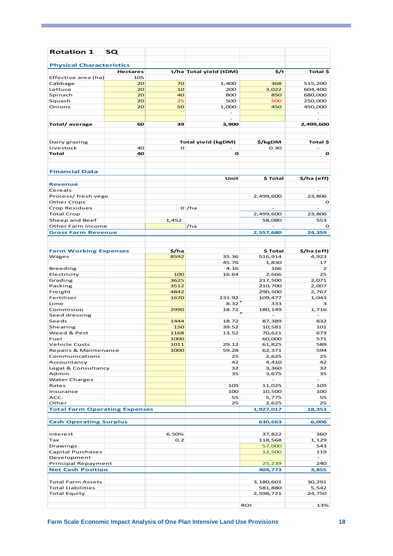| <b>Rotation 1</b>                    | SQ              |              |                           |                |              |
|--------------------------------------|-----------------|--------------|---------------------------|----------------|--------------|
| <b>Physical Characteristics</b>      |                 |              |                           |                |              |
|                                      | <b>Hectares</b> |              | t/ha Total yield (tDM)    | 5/t            | Total \$     |
| Effective area (ha)                  | 105             |              |                           |                |              |
| Cabbage                              | 20              | 70           | 1,400                     | 368            | 515,200      |
| Lettuce                              | 20              | 10           | 200                       | 3,022          | 604,400      |
| Spinach                              | 20              | 40           | 800                       | 850            | 680,000      |
| Squash                               | 20              | 25           | 500                       | 500            | 250,000      |
| Onions                               | 20              | 50           | 1,000                     | 450            | 450,000      |
|                                      |                 |              |                           |                |              |
| Total/average                        | 60              | 39           | 3,900                     |                | 2,499,600    |
| Dairy grazing                        |                 |              | <b>Total yield (kgDM)</b> | \$/kgDM        | Total \$     |
| Livestock                            | 40              | O            |                           | 0.30           |              |
| Total                                | 40              |              | O                         |                | o            |
|                                      |                 |              |                           |                |              |
|                                      |                 |              |                           |                |              |
| <b>Financial Data</b>                |                 |              |                           |                |              |
|                                      |                 |              | Unit                      | \$ Total       | \$/ha (eff)  |
| <b>Revenue</b>                       |                 |              |                           |                |              |
| Cereals                              |                 |              |                           |                |              |
| Process/ fresh vege                  |                 |              |                           | 2,499,600      | 23,806       |
| <b>Other Crops</b>                   |                 |              |                           |                | o            |
| Crop Residues                        |                 |              | O/Ma                      |                |              |
| <b>Total Crop</b>                    |                 |              |                           | 2,499,600      | 23,806       |
| Sheep and Beef                       |                 | 1,452        |                           | 58,080         | 553          |
| Other Farm Income                    |                 |              | /ha                       |                | O            |
| <b>Gross Farm Revenue</b>            |                 |              |                           | 2,557,680      | 24,359       |
|                                      |                 |              |                           |                |              |
|                                      |                 |              |                           |                |              |
|                                      |                 |              |                           |                |              |
| <b>Farm Working Expenses</b>         |                 | \$/ha        |                           | \$ Total       | \$/ha (eff)  |
| Wages                                |                 | 8592         | 35.36                     | 516,914        | 4,923        |
|                                      |                 |              | 45.76                     | 1,830          | 17           |
| <b>Breeding</b>                      |                 |              | 4.16                      | 166            | 2            |
| Electricity                          |                 | 100          | 16.64                     | 2,666          | 25           |
| Grading                              |                 | 3625         |                           | 217,500        | 2,071        |
| Packing                              |                 | 3512<br>4842 |                           | 210,700        | 2,007        |
| Freight<br>Fertiliser                |                 |              |                           | 290,500        | 2,767        |
|                                      |                 | 1670         | 231.92                    | 109,477        | 1,043        |
| Lime<br>Commision                    |                 | 2990         | 8.32<br>18.72             | 333<br>180,149 | з            |
| Seed dressing                        |                 |              |                           |                | 1,716        |
|                                      |                 | 1444         |                           |                |              |
| Seeds<br>Shearing                    |                 |              | 18.72                     | 87,389         | 832          |
|                                      |                 | 150          | 39.52                     | 10,581         | 101          |
| Weed & Pest                          |                 | 1168         | 13.52                     | 70,621         | 673          |
| Fuel                                 |                 | 1000         |                           | 60,000         | 571          |
| <b>Vehicle Costs</b>                 |                 | 1011         | 29.12                     | 61,825         | 589          |
| Repairs & Maintenance                |                 | 1000         | 59.28                     | 62,371         | 594          |
| Communications                       |                 |              | 25                        | 2,625          | 25           |
| Accountancy                          |                 |              | 42                        | 4,410          | 42           |
| Legal & Consultancy                  |                 |              | 32                        | 3,360          | 32           |
| Admin.                               |                 |              | 35                        | 3,675          | 35<br>$\sim$ |
| <b>Water Charges</b>                 |                 |              |                           |                |              |
| Rates                                |                 |              | 105                       | 11,025         | 105          |
| Insurance                            |                 |              | 100                       | 10,500         | 100          |
| ACC.                                 |                 |              | 55                        | 5,775          | 55           |
| Other                                |                 |              | 25                        | 2,625          | 25           |
| <b>Total Farm Operating Expenses</b> |                 |              |                           | 1,927,017      | 18,353       |
|                                      |                 |              |                           |                |              |
| <b>Cash Operating Surplus</b>        |                 |              |                           | 630,663        | 6,006        |
|                                      |                 |              |                           |                |              |
| Interest                             |                 | 6.50%        |                           | 37,822         | 360          |
| Tax                                  |                 | 0.2          |                           | 118,568        | 1,129        |
| Drawings                             |                 |              |                           | 57,000         | 543          |
| Capital Purchases                    |                 |              |                           | 12,500         | 119          |
| Development                          |                 |              |                           |                |              |
| Principal Repayment                  |                 |              |                           | 25,239         | 240          |
| <b>Net Cash Position</b>             |                 |              |                           | 404,773        | 3,855        |
|                                      |                 |              |                           |                |              |
| <b>Total Farm Assets</b>             |                 |              |                           | 3,180,601      | 30,291       |
| Total Liabilities                    |                 |              |                           | 581,880        | 5,542        |
| <b>Total Equity</b>                  |                 |              |                           | 2,598,721      | 24,750       |
|                                      |                 |              |                           |                |              |
|                                      |                 |              |                           | <b>ROI</b>     | 13%          |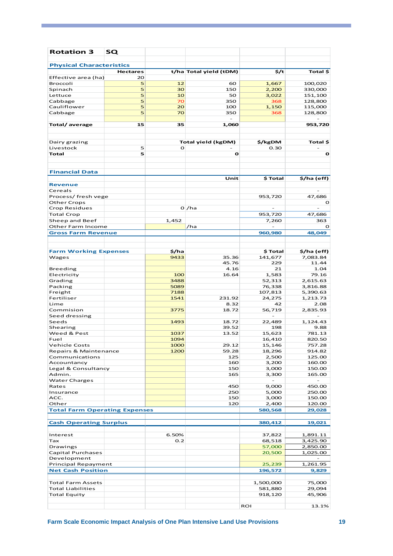| <b>Rotation 3</b>                    | sQ              |       |                           |                   |                      |
|--------------------------------------|-----------------|-------|---------------------------|-------------------|----------------------|
| <b>Physical Characteristics</b>      |                 |       |                           |                   |                      |
|                                      | <b>Hectares</b> |       | t/ha Total yield (tDM)    | 5/t               | Total \$             |
| Effective area (ha)                  | 20              |       |                           |                   |                      |
| Broccoli                             | 5               | 12    | 60                        | 1,667             | 100,020              |
| Spinach                              | 5               | 30    | 150                       | 2,200             | 330,000              |
| Lettuce                              | 5               | 10    | 50                        | 3,022             | 151,100              |
| Cabbage                              | 5               | 70    | 350                       | 368               | 128,800              |
| Cauliflower                          | 5               | 20    | 100                       | 1,150             | 115,000              |
| Cabbage                              | 5               | 70    | 350                       | 368               | 128,800              |
| Total/average                        | 15              | 35    | 1,060                     |                   | 953,720              |
| Dairy grazing                        |                 |       | <b>Total yield (kgDM)</b> | \$/kgDM           | Total \$             |
| Livestock                            | 5               | O     |                           | 0.30              |                      |
| Total                                | 5               |       | o                         |                   | $\mathbf{o}$         |
|                                      |                 |       |                           |                   |                      |
| <b>Financial Data</b>                |                 |       |                           |                   |                      |
| <b>Revenue</b>                       |                 |       | Unit                      | \$ Total          | \$/ha (eff)          |
| Cereals                              |                 |       |                           |                   |                      |
| Process/ fresh vege                  |                 |       |                           | 953,720           | 47,686               |
| <b>Other Crops</b>                   |                 |       |                           |                   | o                    |
| Crop Residues                        |                 |       | 0 /ha                     |                   |                      |
| <b>Total Crop</b>                    |                 |       |                           | 953,720           | 47,686               |
| Sheep and Beef                       |                 | 1,452 |                           | 7,260             | 363                  |
| Other Farm Income                    |                 |       | /ha                       |                   | o                    |
| <b>Gross Farm Revenue</b>            |                 |       |                           | 960,980           | 48,049               |
|                                      |                 |       |                           |                   |                      |
|                                      |                 |       |                           |                   |                      |
| <b>Farm Working Expenses</b>         |                 | \$/ha |                           | \$ Total          | \$/ha (eff)          |
| Wages                                |                 | 9433  | 35.36                     | 141,677           | 7,083.84             |
|                                      |                 |       | 45.76                     | 229               | 11.44                |
| Breeding                             |                 | 100   | 4.16<br>16.64             | 21<br>1,583       | 1.04<br>79.16        |
| Electricity                          |                 | 3488  |                           |                   | 2,615.63             |
| Grading                              |                 | 5089  |                           | 52,313            |                      |
| Packing<br>Freight                   |                 | 7188  |                           | 76,338<br>107,813 | 3,816.88<br>5,390.63 |
| Fertiliser                           |                 | 1541  | 231.92                    | 24,275            | 1,213.73             |
| Lime                                 |                 |       | 8.32                      | 42                | 2.08                 |
| Commision                            |                 | 3775  | 18.72                     | 56,719            | 2,835.93             |
| Seed dressing                        |                 |       |                           |                   |                      |
| Seeds                                |                 | 1493  | 18.72                     | 22,489            | 1,124.43             |
| Shearing                             |                 |       | 39.52                     | 198               | 9.88                 |
| Weed & Pest                          |                 | 1037  | 13.52                     | 15,623            | 781.13               |
| Fuel                                 |                 | 1094  |                           | 16,410            | 820.50               |
| <b>Vehicle Costs</b>                 |                 | 1000  | 29.12                     | 15,146            | 757.28               |
| Repairs & Maintenance                |                 | 1200  | 59.28                     | 18,296            | 914.82               |
| Communications                       |                 |       | 125                       | 2,500             | 125.00               |
| Accountancy                          |                 |       | 160                       | 3,200             | 160.00               |
| Legal & Consultancy                  |                 |       | 150                       | 3,000             | 150.00               |
| Admin.                               |                 |       | 165                       | 3,300             | 165.00               |
| Water Charges                        |                 |       |                           |                   |                      |
| Rates                                |                 |       | 450                       | 9,000             | 450.00               |
| Insurance                            |                 |       | 250                       | 5,000             | 250.00               |
| ACC.                                 |                 |       | 150                       | 3,000             | 150.00               |
| Other                                |                 |       | 120                       | 2,400             | 120.00               |
| <b>Total Farm Operating Expenses</b> |                 |       |                           | 580,568           | 29,028               |
|                                      |                 |       |                           |                   |                      |
| <b>Cash Operating Surplus</b>        |                 |       |                           | 380,412           | 19,021               |
| Interest                             |                 | 6.50% |                           | 37,822            | 1,891.11             |
| Tax                                  |                 | 0.2   |                           | 68,518            | 3,425.90             |
| Drawings                             |                 |       |                           | 57,000            | 2,850.00             |
| Capital Purchases                    |                 |       |                           | 20,500            | 1,025.00             |
| Development                          |                 |       |                           |                   |                      |
| Principal Repayment                  |                 |       |                           | 25,239            | 1,261.95             |
| <b>Net Cash Position</b>             |                 |       |                           | 196,572           | 9,829                |
|                                      |                 |       |                           |                   |                      |
| Total Farm Assets                    |                 |       |                           | 1,500,000         | 75,000               |
| <b>Total Liabilities</b>             |                 |       |                           | 581,880           | 29,094               |
| <b>Total Equity</b>                  |                 |       |                           | 918,120           | 45,906               |
|                                      |                 |       |                           |                   |                      |
|                                      |                 |       |                           | <b>ROI</b>        | 13.1%                |